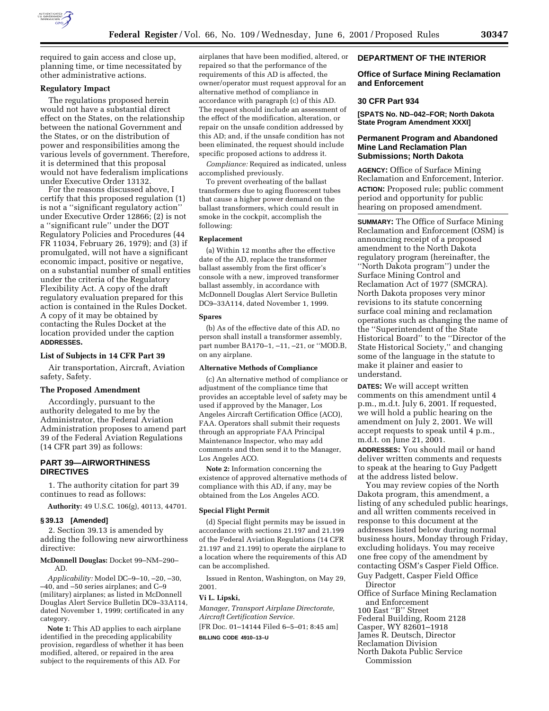

required to gain access and close up, planning time, or time necessitated by other administrative actions.

### **Regulatory Impact**

The regulations proposed herein would not have a substantial direct effect on the States, on the relationship between the national Government and the States, or on the distribution of power and responsibilities among the various levels of government. Therefore, it is determined that this proposal would not have federalism implications under Executive Order 13132.

For the reasons discussed above, I certify that this proposed regulation (1) is not a ''significant regulatory action'' under Executive Order 12866; (2) is not a ''significant rule'' under the DOT Regulatory Policies and Procedures (44 FR 11034, February 26, 1979); and (3) if promulgated, will not have a significant economic impact, positive or negative, on a substantial number of small entities under the criteria of the Regulatory Flexibility Act. A copy of the draft regulatory evaluation prepared for this action is contained in the Rules Docket. A copy of it may be obtained by contacting the Rules Docket at the location provided under the caption **ADDRESSES.**

## **List of Subjects in 14 CFR Part 39**

Air transportation, Aircraft, Aviation safety, Safety.

### **The Proposed Amendment**

Accordingly, pursuant to the authority delegated to me by the Administrator, the Federal Aviation Administration proposes to amend part 39 of the Federal Aviation Regulations (14 CFR part 39) as follows:

## **PART 39—AIRWORTHINESS DIRECTIVES**

1. The authority citation for part 39 continues to read as follows:

**Authority:** 49 U.S.C. 106(g), 40113, 44701.

### **§ 39.13 [Amended]**

2. Section 39.13 is amended by adding the following new airworthiness directive:

**McDonnell Douglas:** Docket 99–NM–290– AD.

*Applicability:* Model DC–9–10, –20, –30, –40, and –50 series airplanes; and C–9 (military) airplanes; as listed in McDonnell Douglas Alert Service Bulletin DC9–33A114, dated November 1, 1999; certificated in any category.

**Note 1:** This AD applies to each airplane identified in the preceding applicability provision, regardless of whether it has been modified, altered, or repaired in the area subject to the requirements of this AD. For

airplanes that have been modified, altered, or repaired so that the performance of the requirements of this AD is affected, the owner/operator must request approval for an alternative method of compliance in accordance with paragraph (c) of this AD. The request should include an assessment of the effect of the modification, alteration, or repair on the unsafe condition addressed by this AD; and, if the unsafe condition has not been eliminated, the request should include specific proposed actions to address it.

*Compliance:* Required as indicated, unless accomplished previously.

To prevent overheating of the ballast transformers due to aging fluorescent tubes that cause a higher power demand on the ballast transformers, which could result in smoke in the cockpit, accomplish the following:

### **Replacement**

(a) Within 12 months after the effective date of the AD, replace the transformer ballast assembly from the first officer's console with a new, improved transformer ballast assembly, in accordance with McDonnell Douglas Alert Service Bulletin DC9–33A114, dated November 1, 1999.

### **Spares**

(b) As of the effective date of this AD, no person shall install a transformer assembly, part number BA170–1, –11, –21, or ''MOD.B, on any airplane.

#### **Alternative Methods of Compliance**

(c) An alternative method of compliance or adjustment of the compliance time that provides an acceptable level of safety may be used if approved by the Manager, Los Angeles Aircraft Certification Office (ACO), FAA. Operators shall submit their requests through an appropriate FAA Principal Maintenance Inspector, who may add comments and then send it to the Manager, Los Angeles ACO.

**Note 2:** Information concerning the existence of approved alternative methods of compliance with this AD, if any, may be obtained from the Los Angeles ACO.

#### **Special Flight Permit**

(d) Special flight permits may be issued in accordance with sections 21.197 and 21.199 of the Federal Aviation Regulations (14 CFR 21.197 and 21.199) to operate the airplane to a location where the requirements of this AD can be accomplished.

Issued in Renton, Washington, on May 29, 2001.

# **Vi L. Lipski,**

*Manager, Transport Airplane Directorate, Aircraft Certification Service.* [FR Doc. 01–14144 Filed 6–5–01; 8:45 am]

**BILLING CODE 4910–13–U**

## **DEPARTMENT OF THE INTERIOR**

# **Office of Surface Mining Reclamation and Enforcement**

## **30 CFR Part 934**

**[SPATS No. ND–042–FOR; North Dakota State Program Amendment XXXI]**

# **Permanent Program and Abandoned Mine Land Reclamation Plan Submissions; North Dakota**

**AGENCY:** Office of Surface Mining Reclamation and Enforcement, Interior. **ACTION:** Proposed rule; public comment period and opportunity for public hearing on proposed amendment.

**SUMMARY:** The Office of Surface Mining Reclamation and Enforcement (OSM) is announcing receipt of a proposed amendment to the North Dakota regulatory program (hereinafter, the ''North Dakota program'') under the Surface Mining Control and Reclamation Act of 1977 (SMCRA). North Dakota proposes very minor revisions to its statute concerning surface coal mining and reclamation operations such as changing the name of the ''Superintendent of the State Historical Board'' to the ''Director of the State Historical Society,'' and changing some of the language in the statute to make it plainer and easier to understand.

**DATES:** We will accept written comments on this amendment until 4 p.m., m.d.t. July 6, 2001. If requested, we will hold a public hearing on the amendment on July 2, 2001. We will accept requests to speak until 4 p.m., m.d.t. on June 21, 2001.

**ADDRESSES:** You should mail or hand deliver written comments and requests to speak at the hearing to Guy Padgett at the address listed below.

You may review copies of the North Dakota program, this amendment, a listing of any scheduled public hearings, and all written comments received in response to this document at the addresses listed below during normal business hours, Monday through Friday, excluding holidays. You may receive one free copy of the amendment by contacting OSM's Casper Field Office. Guy Padgett, Casper Field Office Director

Office of Surface Mining Reclamation and Enforcement 100 East ''B'' Street Federal Building, Room 2128 Casper, WY 82601–1918 James R. Deutsch, Director Reclamation Division North Dakota Public Service

Commission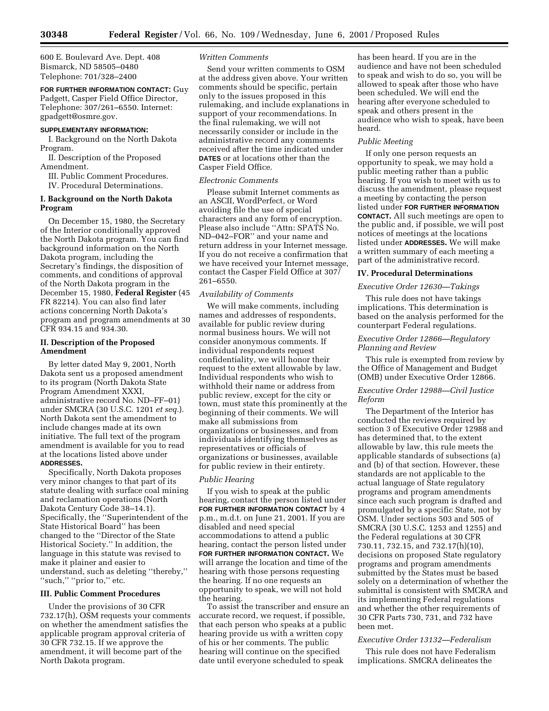600 E. Boulevard Ave. Dept. 408 Bismarck, ND 58505–0480 Telephone: 701/328–2400

**FOR FURTHER INFORMATION CONTACT:** Guy Padgett, Casper Field Office Director, Telephone: 307/261–6550. Internet: gpadgett@osmre.gov.

### **SUPPLEMENTARY INFORMATION:**

I. Background on the North Dakota Program.

II. Description of the Proposed Amendment.

III. Public Comment Procedures.

IV. Procedural Determinations.

# **I. Background on the North Dakota Program**

On December 15, 1980, the Secretary of the Interior conditionally approved the North Dakota program. You can find background information on the North Dakota program, including the Secretary's findings, the disposition of comments, and conditions of approval of the North Dakota program in the December 15, 1980, **Federal Register** (45 FR 82214). You can also find later actions concerning North Dakota's program and program amendments at 30 CFR 934.15 and 934.30.

## **II. Description of the Proposed Amendment**

By letter dated May 9, 2001, North Dakota sent us a proposed amendment to its program (North Dakota State Program Amendment XXXI, administrative record No. ND–FF–01) under SMCRA (30 U.S.C. 1201 *et seq.*). North Dakota sent the amendment to include changes made at its own initiative. The full text of the program amendment is available for you to read at the locations listed above under **ADDRESSES.**

Specifically, North Dakota proposes very minor changes to that part of its statute dealing with surface coal mining and reclamation operations (North Dakota Century Code 38–14.1). Specifically, the ''Superintendent of the State Historical Board'' has been changed to the ''Director of the State Historical Society.'' In addition, the language in this statute was revised to make it plainer and easier to understand, such as deleting ''thereby,'' "such," "prior to," etc.

## **III. Public Comment Procedures**

Under the provisions of 30 CFR 732.17(h), OSM requests your comments on whether the amendment satisfies the applicable program approval criteria of 30 CFR 732.15. If we approve the amendment, it will become part of the North Dakota program.

# *Written Comments*

Send your written comments to OSM at the address given above. Your written comments should be specific, pertain only to the issues proposed in this rulemaking, and include explanations in support of your recommendations. In the final rulemaking, we will not necessarily consider or include in the administrative record any comments received after the time indicated under **DATES** or at locations other than the Casper Field Office.

# *Electronic Comments*

Please submit Internet comments as an ASCII, WordPerfect, or Word avoiding file the use of special characters and any form of encryption. Please also include ''Attn: SPATS No. ND–042–FOR'' and your name and return address in your Internet message. If you do not receive a confirmation that we have received your Internet message, contact the Casper Field Office at 307/ 261–6550.

# *Availability of Comments*

We will make comments, including names and addresses of respondents, available for public review during normal business hours. We will not consider anonymous comments. If individual respondents request confidentiality, we will honor their request to the extent allowable by law. Individual respondents who wish to withhold their name or address from public review, except for the city or town, must state this prominently at the beginning of their comments. We will make all submissions from organizations or businesses, and from individuals identifying themselves as representatives or officials of organizations or businesses, available for public review in their entirety.

### *Public Hearing*

If you wish to speak at the public hearing, contact the person listed under **FOR FURTHER INFORMATION CONTACT** by 4 p.m., m.d.t. on June 21, 2001. If you are disabled and need special accommodations to attend a public hearing, contact the person listed under **FOR FURTHER INFORMATION CONTACT.** We will arrange the location and time of the hearing with those persons requesting the hearing. If no one requests an opportunity to speak, we will not hold the hearing.

To assist the transcriber and ensure an accurate record, we request, if possible, that each person who speaks at a public hearing provide us with a written copy of his or her comments. The public hearing will continue on the specified date until everyone scheduled to speak

has been heard. If you are in the audience and have not been scheduled to speak and wish to do so, you will be allowed to speak after those who have been scheduled. We will end the hearing after everyone scheduled to speak and others present in the audience who wish to speak, have been heard.

## *Public Meeting*

If only one person requests an opportunity to speak, we may hold a public meeting rather than a public hearing. If you wish to meet with us to discuss the amendment, please request a meeting by contacting the person listed under **FOR FURTHER INFORMATION CONTACT.** All such meetings are open to the public and, if possible, we will post notices of meetings at the locations listed under **ADDRESSES.** We will make a written summary of each meeting a part of the administrative record.

## **IV. Procedural Determinations**

## *Executive Order 12630—Takings*

This rule does not have takings implications. This determination is based on the analysis performed for the counterpart Federal regulations.

## *Executive Order 12866—Regulatory Planning and Review*

This rule is exempted from review by the Office of Management and Budget (OMB) under Executive Order 12866.

# *Executive Order 12988—Civil Justice Reform*

The Department of the Interior has conducted the reviews required by section 3 of Executive Order 12988 and has determined that, to the extent allowable by law, this rule meets the applicable standards of subsections (a) and (b) of that section. However, these standards are not applicable to the actual language of State regulatory programs and program amendments since each such program is drafted and promulgated by a specific State, not by OSM. Under sections 503 and 505 of SMCRA (30 U.S.C. 1253 and 1255) and the Federal regulations at 30 CFR 730.11, 732.15, and 732.17(h)(10), decisions on proposed State regulatory programs and program amendments submitted by the States must be based solely on a determination of whether the submittal is consistent with SMCRA and its implementing Federal regulations and whether the other requirements of 30 CFR Parts 730, 731, and 732 have been met.

### *Executive Order 13132—Federalism*

This rule does not have Federalism implications. SMCRA delineates the